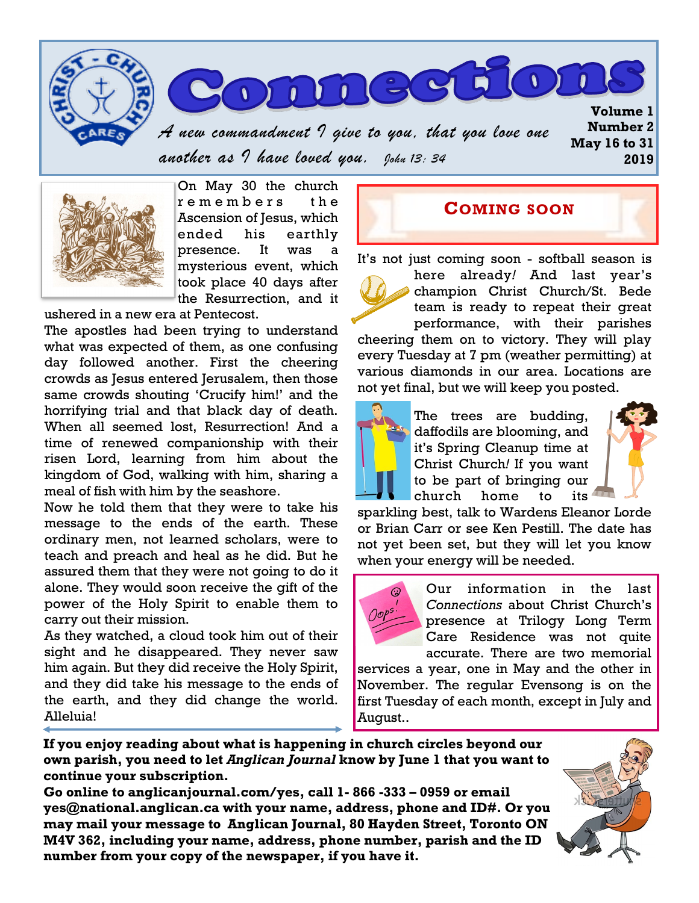



*A new commandment I give to you, that you love one another as I have loved you. John 13: 34* 



On May 30 the church remembers the Ascension of Jesus, which ended his earthly presence. It was a mysterious event, which took place 40 days after the Resurrection, and it

ushered in a new era at Pentecost.

The apostles had been trying to understand what was expected of them, as one confusing day followed another. First the cheering crowds as Jesus entered Jerusalem, then those same crowds shouting 'Crucify him!' and the horrifying trial and that black day of death. When all seemed lost, Resurrection! And a time of renewed companionship with their risen Lord, learning from him about the kingdom of God, walking with him, sharing a meal of fish with him by the seashore.

Now he told them that they were to take his message to the ends of the earth. These ordinary men, not learned scholars, were to teach and preach and heal as he did. But he assured them that they were not going to do it alone. They would soon receive the gift of the power of the Holy Spirit to enable them to carry out their mission.

As they watched, a cloud took him out of their sight and he disappeared. They never saw him again. But they did receive the Holy Spirit, and they did take his message to the ends of the earth, and they did change the world. Alleluia!

#### **COMING SOON**

It's not just coming soon - softball season is



here already*!* And last year's champion Christ Church/St. Bede team is ready to repeat their great performance, with their parishes

cheering them on to victory. They will play every Tuesday at 7 pm (weather permitting) at various diamonds in our area. Locations are not yet final, but we will keep you posted.



The trees are budding, daffodils are blooming, and it's Spring Cleanup time at Christ Church*!* If you want to be part of bringing our church home to its



sparkling best, talk to Wardens Eleanor Lorde or Brian Carr or see Ken Pestill. The date has not yet been set, but they will let you know when your energy will be needed.



Our information in the last *Connections* about Christ Church's presence at Trilogy Long Term Care Residence was not quite accurate. There are two memorial

services a year, one in May and the other in November. The regular Evensong is on the first Tuesday of each month, except in July and August..

**If you enjoy reading about what is happening in church circles beyond our own parish, you need to let** *Anglican Journal* **know by June 1 that you want to continue your subscription.** 

**Go online to anglicanjournal.com/yes, call 1- 866 -333 – 0959 or email yes@national.anglican.ca with your name, address, phone and ID#. Or you may mail your message to Anglican Journal, 80 Hayden Street, Toronto ON M4V 362, including your name, address, phone number, parish and the ID number from your copy of the newspaper, if you have it.**

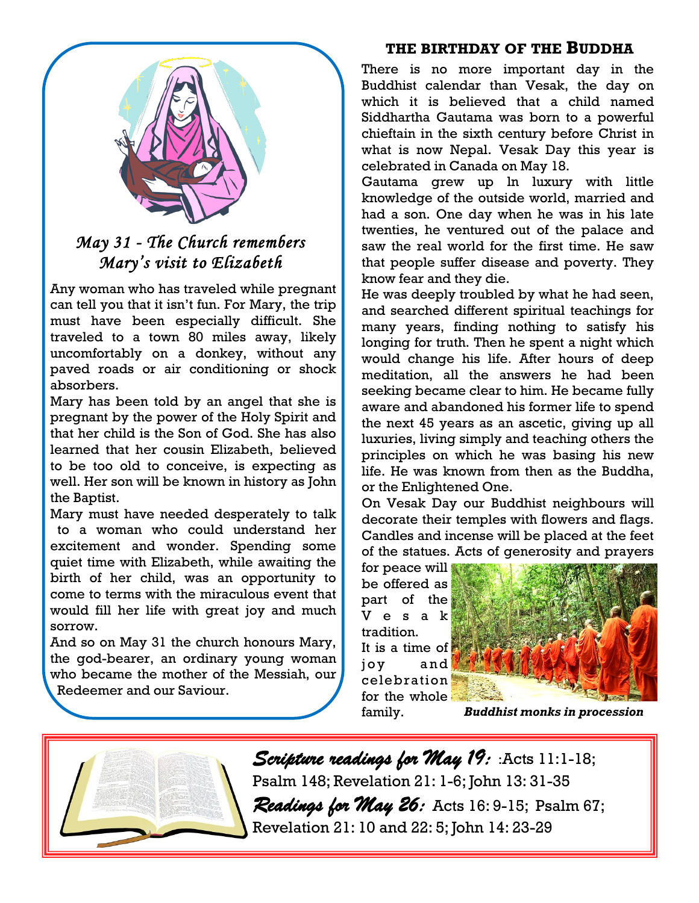

## *May 31 - The Church remembers Mary's visit to Elizabeth*

Any woman who has traveled while pregnant can tell you that it isn't fun. For Mary, the trip must have been especially difficult. She traveled to a town 80 miles away, likely uncomfortably on a donkey, without any paved roads or air conditioning or shock absorbers.

Mary has been told by an angel that she is pregnant by the power of the Holy Spirit and that her child is the Son of God. She has also learned that her cousin Elizabeth, believed to be too old to conceive, is expecting as well. Her son will be known in history as John the Baptist.

Mary must have needed desperately to talk to a woman who could understand her excitement and wonder. Spending some quiet time with Elizabeth, while awaiting the birth of her child, was an opportunity to come to terms with the miraculous event that would fill her life with great joy and much sorrow.

And so on May 31 the church honours Mary, the god-bearer, an ordinary young woman who became the mother of the Messiah, our Redeemer and our Saviour.

#### **THE BIRTHDAY OF THE BUDDHA**

There is no more important day in the Buddhist calendar than Vesak, the day on which it is believed that a child named Siddhartha Gautama was born to a powerful chieftain in the sixth century before Christ in what is now Nepal. Vesak Day this year is celebrated in Canada on May 18.

Gautama grew up ln luxury with little knowledge of the outside world, married and had a son. One day when he was in his late twenties, he ventured out of the palace and saw the real world for the first time. He saw that people suffer disease and poverty. They know fear and they die.

He was deeply troubled by what he had seen, and searched different spiritual teachings for many years, finding nothing to satisfy his longing for truth. Then he spent a night which would change his life. After hours of deep meditation, all the answers he had been seeking became clear to him. He became fully aware and abandoned his former life to spend the next 45 years as an ascetic, giving up all luxuries, living simply and teaching others the principles on which he was basing his new life. He was known from then as the Buddha, or the Enlightened One.

On Vesak Day our Buddhist neighbours will decorate their temples with flowers and flags. Candles and incense will be placed at the feet of the statues. Acts of generosity and prayers

for peace will be offered as part of the V e s a k tradition. It is a time of joy and celebration for the whole



family. *Buddhist monks in procession*



*Scripture readings for May 19:* :Acts 11:1-18; Psalm 148; Revelation 21: 1-6; John 13: 31-35 *Readings for May 26:* Acts 16: 9-15; Psalm 67; Revelation 21: 10 and 22: 5; John 14: 23-29